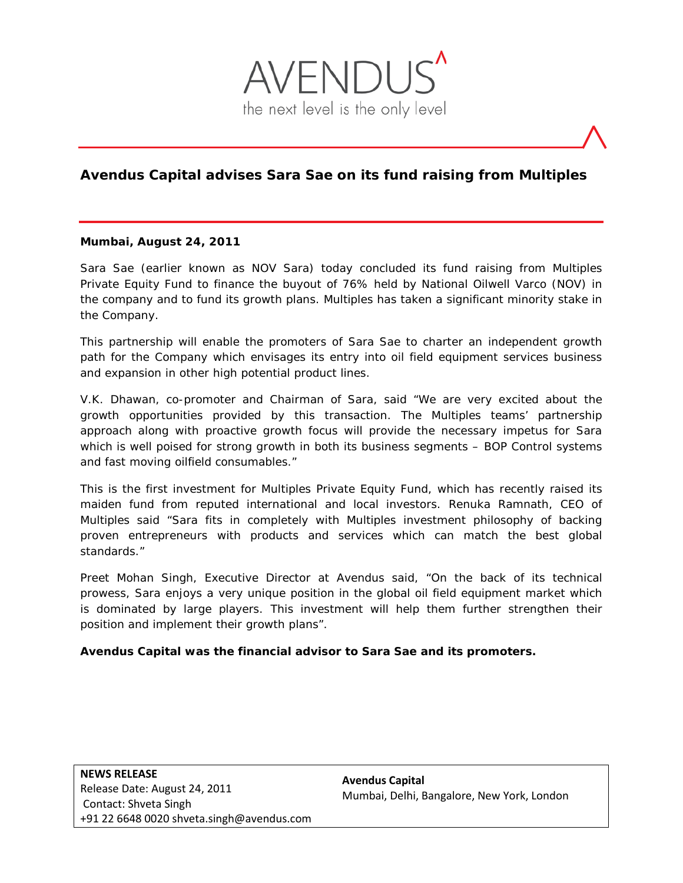

# **Avendus Capital advises Sara Sae on its fund raising from Multiples**

#### **Mumbai, August 24, 2011**

Sara Sae (earlier known as NOV Sara) today concluded its fund raising from Multiples Private Equity Fund to finance the buyout of 76% held by National Oilwell Varco (NOV) in the company and to fund its growth plans. Multiples has taken a significant minority stake in the Company.

This partnership will enable the promoters of Sara Sae to charter an independent growth path for the Company which envisages its entry into oil field equipment services business and expansion in other high potential product lines.

V.K. Dhawan, co-promoter and Chairman of Sara, said "We are very excited about the growth opportunities provided by this transaction. The Multiples teams' partnership approach along with proactive growth focus will provide the necessary impetus for Sara which is well poised for strong growth in both its business segments – BOP Control systems and fast moving oilfield consumables."

This is the first investment for Multiples Private Equity Fund, which has recently raised its maiden fund from reputed international and local investors. Renuka Ramnath, CEO of Multiples said "Sara fits in completely with Multiples investment philosophy of backing proven entrepreneurs with products and services which can match the best global standards."

Preet Mohan Singh, Executive Director at Avendus said, "On the back of its technical prowess, Sara enjoys a very unique position in the global oil field equipment market which is dominated by large players. This investment will help them further strengthen their position and implement their growth plans".

#### **Avendus Capital was the financial advisor to Sara Sae and its promoters.**

**Avendus Capital** Mumbai, Delhi, Bangalore, New York, London